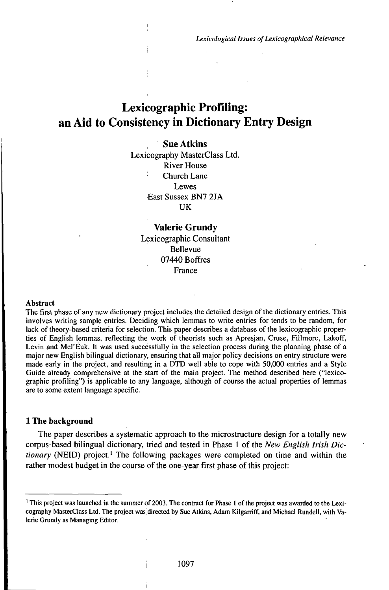*Lexicological issues ofLexicographical Relevance*

# Lexicographic Profiling: an Aid to Consistency in Dictionary Entry Design

## **SueAtkins**

Lexicography MasterClass Ltd. River House Church Lane **Lewes** East Sussex BN7 2JA **IK** 

**Valerie Grundy** Lexicographic Consultant Bellevue 07440 Boffres France

#### **Abstract**

The first phase of any new dictionary project includes the detailed design of the dictionary entries. This involves writing sample entries. Deciding which lemmas to write entries for tends to be random, for lack of theory-based criteria for selection. This paper describes a database of the lexicographic properties of English lemmas, reflecting the work of theorists such as Apresjan, Cruse, Fillmore, Lakoff, Levin and Mel'Euk. It was used successfully in the selection process during the planning phase of a major new English bilingual dictionary, ensuring that all major policy decisions on entry structure were made early in the project, and resulting in a DTD well able to cope with 50,000 entries and a Style Guide already comprehensive at the start of the main project. The method described here ("lexicographic profiling") is applicable to any language, although of course the actual properties of lemmas are to some extent language specific.

#### **1 The background**

The paper describes a systematic approach to the microstructure design for a totally new corpus-based bilingual dictionary, tried and tested in Phase <sup>1</sup> of the *New English Irish Dictionary* (NEID) project.<sup>1</sup> The following packages were completed on time and within the rather modest budget in the course of the one-year first phase of this project:

<sup>&#</sup>x27; This project was launched in the summer of 2003. The contract for Phase <sup>1</sup> of the project was awarded to the Lexicography MasterClass Ltd. The project was directed by Sue Atkins, Adam Kilgarriff, and Michael Rundell, with Valerie Grundy as Managing Editor.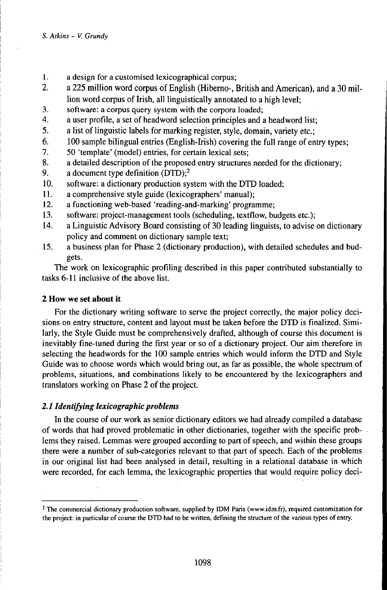- 1. a design for a customised lexicographical corpus;
- 2. a 225 million word corpus of English (Hiberno-, British and American), and a 30 million word corpus of Irish, all linguistically annotated to a high level;
- 3. software: a corpus query system with the corpora loaded;
- 4. a user profile, a set of headword selection principles and a headword list;
- 5. a list of linguistic labels for marking register, style, domain, variety etc.;
- 6. 100 sample bilingual entries (English-frish) covering the full range of entry types;
- 7. 50 'template' (model) entries, for certain lexical sets;
- 8. a detailed description of the proposed entry structures needed for the dictionary;
- 9. a document type definition  $(DTD)$ ;<sup>2</sup>
- 10. software: a dictionary production system with the DTD loaded;
- 11. a comprehensive style guide (lexicographers' manual);
- 12. a functioning web-based 'reading-and-marking' programme;
- 13. software: project-management tools (scheduling, textflow, budgets etc.);
- 14. a Linguistic Advisory Board consisting of 30 leading linguists, to advise on dictionary policy and comment on dictionary sample text;
- 15. a business plan for Phase 2 (dictionary production), with detailed schedules and budgets.

The work on lexicographic profiling described in this paper contributed substantially to tasks 6-11 inclusive of the above list.

# **2 How we set about it**

For the dictionary writing software to serve the project correctly, the major policy decisions on entry structure, content and layout must be taken before the DTD is finalized. Similarly, the Style Guide must be comprehensively drafted, although of course this document is inevitably fine-tuned during the first year or so of a dictionary project. Our aim therefore in selecting the headwords for the 100 sample entries which would inform the DTD and Style Guide was to choose words which would bring out, as far as possible, the whole spectrum of problems, situations, and combinations likely to be encountered by the lexicographers and translators working on Phase 2 of the project.

# 2.1 *Identifying lexicographic problems*

In the course of our work as senior dictionary editors we had already compiled a database of words that had proved problematic in other dictionaries, together with the specific problems they raised. Lemmas were grouped according to part of speech, and within these groups there were a number of sub-categories relevant to that part of speech. Each of the problems in our original list had been analysed in detail, resulting in a relational database in which were recorded, for each lemma, the lexicographic properties that would require policy deci-

<sup>&</sup>lt;sup>2</sup> The commercial dictionary production software, supplied by IDM Paris (www.idm.fr), required customization for the project: in particular of course the DTD had to be written, defining the structure of the various types of entry.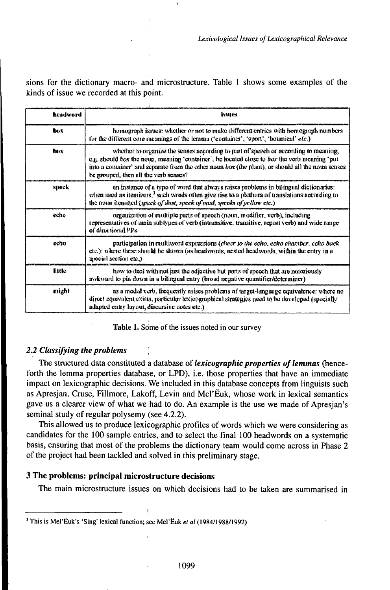sions for the dictionary macro- and microstructure. Table 1 shows some examples of the kinds of issue we recorded at this point.

| headword | issues                                                                                                                                                                                                                                                                                                                            |
|----------|-----------------------------------------------------------------------------------------------------------------------------------------------------------------------------------------------------------------------------------------------------------------------------------------------------------------------------------|
| bax      | homograph issues: whether or not to make different entries with homograph numbers<br>for the different core meanings of the lemma ('container', 'sport', 'botanical' etc.)                                                                                                                                                        |
| hox      | whether to organize the senses according to part of speech or according to meaning.<br>e.g. should box the noun, meaning "container", be located close to box the verb meaning 'put<br>into a container' and separate from the other noun box (the plant), or should all the noun senses<br>be grouped, then all the verb senses? |
| speck    | on instance of a type of word that always raises problems in bilingual dictionaries;<br>when used as itemizers. <sup>3</sup> such words often give rise to a plethora of translations according to<br>the noun itemized (speck of dast, speck of mud, specks of yellow etc.)                                                      |
| echo     | organization of multiple parts of speech (noun, modifier, verb), including<br>representatives of main subtypes of verb (intransitive, transitive, report verb) and wide range<br>of directional PPs.                                                                                                                              |
| echo     | participation in multiword expressions (cheer to the echo, echo chasiber, echo back-<br>etc.); where these should be shown (as headwords, nested headwords, within the entry in a<br>special section etc.)                                                                                                                        |
| tittle   | how to deal with not just the adjective but parts of speech that are notoriously<br>awkward to pin down in a bilingual entry (broad negative quantifier/determiner)                                                                                                                                                               |
| might    | as a modal verb, frequently raises problems of target-language equivalence; where no<br>direct equivalent exists, particular lexicographical strategies need to be developed (specially<br>adapted entry layout, discursive notes etc.)                                                                                           |

Table 1. Some of the issues noted in our survey

## 2.2 Classifying the problems

The structured data constituted a database of *lexicographic properties of lemmas* (henceforth the lemma properties database, or LPD), i.e. those properties that have an immediate impact on lexicographic decisions. We included in this database concepts from linguists such as Apresjan, Cruse, Fillmore, Lakoff, Levin and Mel'Ëuk, whose work in lexical semantics gave us a clearer view of what we had to do. An example is the use we made of Apresjan's seminal study of regular polysemy (see 4.2.2).

This allowed us to produce lexicographic profiles of words which we were considering as candidates for the 100 sample entries, and to select the final 100 headwords on a systematic basis, ensuring that most of the problems the dictionary team would come across in Phase 2 of the project had been tackled and solved in this preliminary stage.

## 3 The problems: principal microstructure decisions

The main microstructure issues on which decisions had to be taken are summarised in

<sup>&</sup>lt;sup>3</sup> This is Mel'Euk's 'Sing' lexical function; see Mel'Euk et al (1984/1988/1992)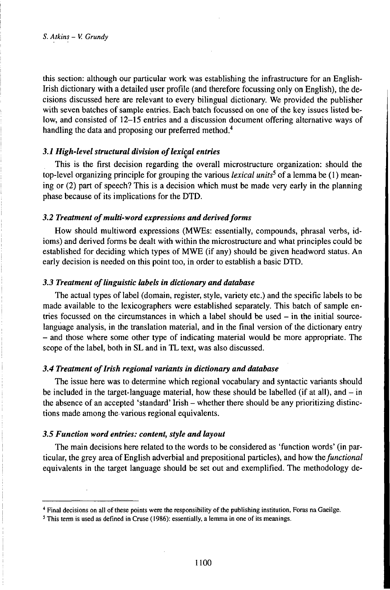this section: although our particular work was establishing the infrastructure for an English-Irish dictionary with a detailed user profile (and therefore focussing only on English), the decisions discussed here are relevant to every bilingual dictionary. We provided the publisher with seven batches of sample entries. Each batch focussed on one of the key issues listed below, and consisted of 12-15 entries and a discussion document offering alternative ways of handling the data and proposing our preferred method.<sup>4</sup>

## *3.1 High-level structural division oflexical entries*

This is the first decision regarding the overall microstructure organization: should the top-level organizing principle for grouping the various *lexical units<sup>5</sup>* of a lemma be (1) meaning or (2) part of speech? This is a decision which must be made very early in the planning phase because of its implications for the DTD.

### 3.2 Treatment of multi-word expressions and derived forms

How should multiword expressions (MWEs: essentially, compounds, phrasal verbs, idioms) and derived forms be dealt with within the microstructure and what principles could be established for deciding which types of MWE (if any) should be given headword status. An early decision is needed on this point too, in order to establish a basic DTD.

## *3.3 Treatment oflinguistic Uibels in dictionary anddatabase*

The actual types oflabel (domain, register, style, variety etc.) and the specific labels to be made available to the lexicographers were established separately. This batch of sample entries focussed on the circumstances in which a label should be used  $-$  in the initial sourcelanguage analysis, in the translation material, and in the final version of the dictionary entry - and those where some other type of indicating material would be more appropriate. The scope of the label, both in SL and in TL text, was also discussed.

## *3.4 Treatment ofIrish regional variants in dictionary anddatabase*

The issue here was to determine which regional vocabulary and syntactic variants should be included in the target-language material, how these should be labelled (if at all), and  $-$  in the absence of an accepted 'standard' Irish – whether there should be any prioritizing distinctions made among the various regional equivalents.

## *3.5 Function word entries: content, style and uiyout*

The main decisions here related to the words to be considered as 'function words' (in particular, the grey area of English adverbial and prepositional particles), and how *thefiinctional* equivalents in the target language should be set out and exemplified. The methodology de-

<sup>4</sup> Final decisions on all of these points were the responsibility of the publishing institution, Foras na Gaeilge.

<sup>&</sup>lt;sup>5</sup> This term is used as defined in Cruse (1986): essentially, a lemma in one of its meanings.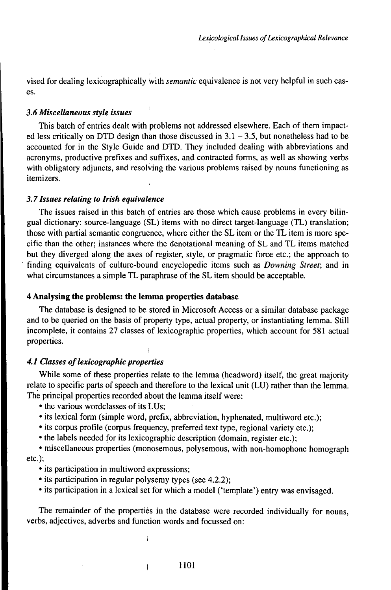vised for dealing lexicographically with *semantic* equivalence is not very helpful in such cases.

#### *3.6 MiscelUineous style issues*

This batch of entries dealt with problems not addressed elsewhere. Each of them impacted less critically on DTD design than those discussed in  $3.1 - 3.5$ , but nonetheless had to be accounted for in the Style Guide and DTD. They included dealing with abbreviations and acronyms, productive prefixes and suffixes, and contracted forms, as well as showing verbs with obligatory adjuncts, and resolving the various problems raised by nouns functioning as itemizers.

#### *3.71ssues rehiting to Irish equivalence*

The issues raised in this batch of entries are those which cause problems in every bilingual dictionary: source-language (SL) items with no direct target-language (TL) translation; those with partial semantic congruence, where either the SL item or the TL item is more specific than the other; instances where the denotational meaning of SL and TL items matched but they diverged along the axes of register, style, or pragmatic force etc.; the approach to finding equivalents of culture-bound encyclopedic items such as *Downing Street;* and in what circumstances a simple TL paraphrase of the SL item should be acceptable.

## **4 Analysing the problems: the lemma properties database**

The database is designed to be stored in Microsoft Access or a similar database package and to be queried on the basis of property type, actual property, or instantiating lemma. Still incomplete, it contains 27 classes of lexicographic properties, which account for 581 actual properties.

#### **4.1 Classes of lexicographic properties**

While some of these properties relate to the lemma (headword) itself, the great majority relate to specific parts of speech and therefore to the lexical unit (LU) rather than the lemma. The principal properties recorded about the lemma itself were:

• the various wordclasses of its LUs;

- its lexical form (simple word, prefix, abbreviation, hyphenated, multiword etc.);
- its corpus profile (corpus frequency, preferred text type, regional variety etc.);
- the labels needed for its lexicographic description (domain, register etc.);

• miscellaneous properties (monosemous, polysemous, with non-homophone homograph etc.);

- its participation in multiword expressions;
- its participation in regular polysemy types (see 4.2.2);
- its participation in a lexical set for which a model ('template') entry was envisaged.

The remainder of the properties in the database were recorded individually for nouns, verbs, adjectives, adverbs and function words and focussed on: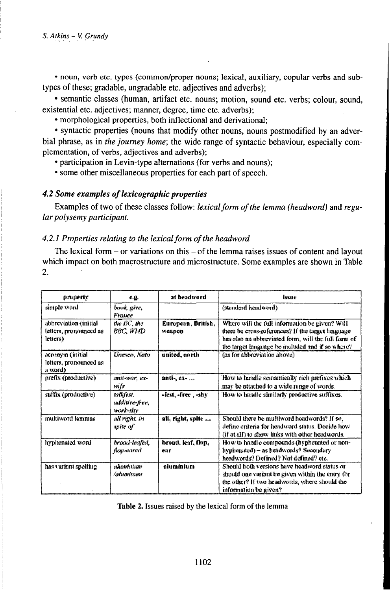• noun, verb etc. types (common/proper nouns; lexical, auxiliary, copular verbs and subtypes of these; gradable, ungradable etc. adjectives and adverbs);

· semantic classes (human, artifact etc. nouns; motion, sound etc. verbs; colour, sound, existential etc. adjectives; manner, degree, time etc. adverbs);

• morphological properties, both inflectional and derivational;

• syntactic properties (nouns that modify other nouns, nouns postmodified by an adverbial phrase, as in the journey home; the wide range of syntactic behaviour, especially complementation, of verbs, adjectives and adverbs);

• participation in Levin-type alternations (for verbs and nouns);

• some other miscellaneous properties for each part of speech.

## 4.2 Some examples of lexicographic properties

Examples of two of these classes follow: lexical form of the lemma (headword) and regular polysemy participant.

## 4.2.1 Properties relating to the lexical form of the headword

The lexical form  $-$  or variations on this  $-$  of the lemma raises issues of content and layout which impact on both macrostructure and microstructure. Some examples are shown in Table  $\overline{2}$ .

| property                                                    | <b>C.C.</b>                           | at headword                  | issue                                                                                                                                                                                                          |
|-------------------------------------------------------------|---------------------------------------|------------------------------|----------------------------------------------------------------------------------------------------------------------------------------------------------------------------------------------------------------|
| simple word                                                 | book, give,<br>France                 |                              | (standard headword)                                                                                                                                                                                            |
| abbreviation (initial<br>letters, pronxameed as<br>letters) | the EC, the<br>ВВС, НМД               | European, British,<br>weapon | Where will the full information be given? Will<br>there be cross-references? If the target language<br>has also an abbreviated form, will the full form of<br>the target language be included and if so where? |
| acronym (initial<br>letters, pronounced as<br>n word)       | Unesco, Nato                          | united, north                | (as for abbreviation above).                                                                                                                                                                                   |
| prefix (productive)                                         | anti-war, ex-<br>મગ્રદિ               | anti-, ex-                   | How to handle semantically rich prefixes which<br>may be attached to a wide range of words.                                                                                                                    |
| suffix (productive)                                         | talkfest,<br>additive-free,<br>พงฟะมห | $-$ fest, $-$ free $-$ shy   | How to handle similarly productive suffixes.                                                                                                                                                                   |
| multiword lemmas                                            | all right, in<br>spite of             | all, right, spite            | Should there be multiword headwords? If so,<br>define criteria for headword status. Docide how<br>(if at all) to show links with other headwords.                                                              |
| hyphenated word                                             | hroad-leafed,<br>Ropscared            | broad, leaf, flop,<br>éá r   | How to handle compounds (hyphenated or non-<br>hyphenated) – as headwords? Secondary<br>headwords? Defined? Not defined? etc.                                                                                  |
| has variant spelling                                        | ahmuniam<br>/aluminum                 | aluminium                    | Should both versions have headword status or<br>should one variant be given within the entry for<br>the other? If two headwords, where should the<br>information be given?                                     |

Table 2. Issues raised by the lexical form of the lemma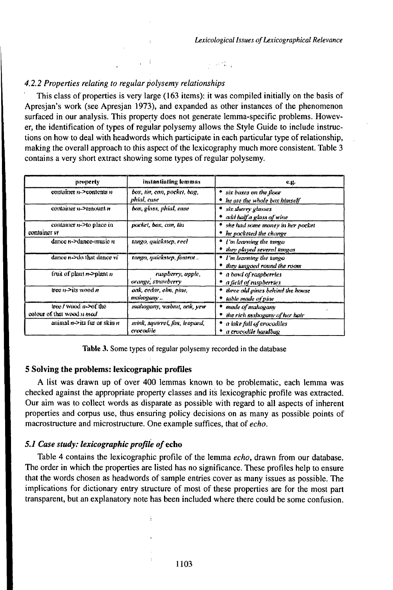## 4.2.2 Properties relating to regular polysemy relationships

This class of properties is very large (163 items): it was compiled initially on the basis of Apresian's work (see Apresian 1973), and expanded as other instances of the phenomenon surfaced in our analysis. This property does not generate lemma-specific problems. However, the identification of types of regular polysemy allows the Style Guide to include instructions on how to deal with headwords which participate in each particular type of relationship, making the overall approach to this aspect of the lexicography much more consistent. Table 3 contains a very short extract showing some types of regular polysemy.

 $\alpha$  ,  $\alpha$  ,  $\alpha$ 

| property                                            | instantiating lemmas                       | <b>C.H.</b>                                                     |
|-----------------------------------------------------|--------------------------------------------|-----------------------------------------------------------------|
| container n->contents n                             | box, tin, can, pocket, bog,<br>phíal, cuse | • six baxes on the floor<br>he ato the whole box himself        |
| container n->amount n                               | box, glass, phial, case                    | six sherry glasses<br>* add half a glass of wine                |
| container n->to place in<br>container vt            | packet, box, can, tîn                      | she had some money in her pocket<br>he pocketed the change      |
| dance n->dance-music n                              | tango, quickstep, reel                     | $\bullet$ 1 in learning the tange<br>they played several tangos |
| dance needs that dance vi-                          | tanga, quickstep, foxtrat                  | * I'm learning the tango<br>they tangeed round the room         |
| fruit of plant $n$ ->plant $n$                      | raspberry, apple,<br>orange, strawberry    | * a bout of raspberries<br>$^{\bullet}$ a field of raspberries. |
| free $n \geq$ its wood $n$                          | oak, cedar, elm, pinn,<br>makogany         | three old pines behind the house<br>table made of pine          |
| tree / wood n->of the<br>colour of that wood it mod | mahogany, wabut, oak, yew                  | * made of mahogariv<br>the rich mahogany of her hair            |
| animal no its fur or skin n                         | mink, squirrel, fox, leopard,<br>erocodile | a lake full of crocodiles<br>a crocedile handbag                |

Table 3. Some types of regular polysemy recorded in the database

## 5 Solving the problems: lexicographic profiles

A list was drawn up of over 400 lemmas known to be problematic, each lemma was checked against the appropriate property classes and its lexicographic profile was extracted. Our aim was to collect words as disparate as possible with regard to all aspects of inherent properties and corpus use, thus ensuring policy decisions on as many as possible points of macrostructure and microstructure. One example suffices, that of echo.

## 5.1 Case study: lexicographic profile of echo

Table 4 contains the lexicographic profile of the lemma echo, drawn from our database. The order in which the properties are listed has no significance. These profiles help to ensure that the words chosen as headwords of sample entries cover as many issues as possible. The implications for dictionary entry structure of most of these properties are for the most part transparent, but an explanatory note has been included where there could be some confusion.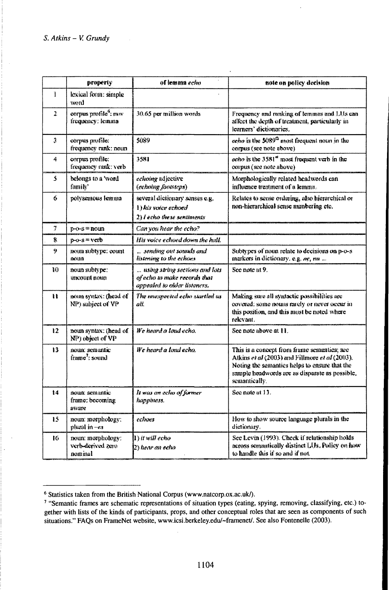|                | property                                             | of lemma echo                                                                                  | note on policy decision                                                                                                                                                                                           |
|----------------|------------------------------------------------------|------------------------------------------------------------------------------------------------|-------------------------------------------------------------------------------------------------------------------------------------------------------------------------------------------------------------------|
| $\mathbf{1}$   | lexical form: simple<br>word                         |                                                                                                |                                                                                                                                                                                                                   |
| $\overline{z}$ | corpus profile <sup>6</sup> ; mw<br>frequency: lemma | 30.65 per million words                                                                        | Frequency and ranking of lemmas and LUs can<br>affect the depth of treatment, particularly in<br>learners' dictionaries.                                                                                          |
| Ĵ.             | corpus profile:<br>frequency rank: noun              | 5089                                                                                           | echo is the 5089 <sup>cs</sup> most frequent noun in the<br>corpus (see note above)                                                                                                                               |
| 4              | cornes profile:<br>frequency rank: verb              | 3581                                                                                           | scho is the $3581st$ most frequent verb in the<br>corpus (see note above)                                                                                                                                         |
| s.             | belongs to a 'word<br>family'                        | echoing adjective<br>(echoing footsteps)                                                       | Morphologically related headwords can<br>influence treatment of a lemma.                                                                                                                                          |
| 6              | polysemous lemma                                     | several dictionary senses e.g.<br>1) his voice echoed<br>2) I echo these sentiments            | Relates to sense ordering, also hierarchical or<br>non-hierarchical sense numbering etc.                                                                                                                          |
| 7              | $p-c-s = noun$                                       | Can you hear the echo?                                                                         |                                                                                                                                                                                                                   |
| 8              | $p-0-s = vctb$                                       | His voice echoed down the hall.                                                                |                                                                                                                                                                                                                   |
| 9              | noun subtype: count<br>noun                          | sending out sounds and<br>listening to the echoes                                              | Subtypes of noun relate to decisions on p-o-s<br>markers in dictionary, e.g. ne, m                                                                                                                                |
| 10             | noun subtype:<br>uncount noun                        | using string sections and lots<br>of echo to make records that<br>appealed to older listeners. | See note at 9.                                                                                                                                                                                                    |
| Ħ              | noun syntax: (head of<br>NP) subject of VP           | The unexpected echo startled us<br>all.                                                        | Making sure all syntactic possibilities are<br>covered: some nouns rarely or never occur in<br>this position, and this must be noted where<br>relevant.                                                           |
| ŧ2.            | noun syntax: (head of<br>NP) object of VP            | We heard a loud echo.                                                                          | See note above at 11.                                                                                                                                                                                             |
| ŧ3             | noun: semantic<br>frame <sup>3</sup> ; sound         | We heard a load echo.                                                                          | This is a concept from frame semantics; see<br>Atkins et al (2003) and Fillmore et al (2003).<br>Noting the semantics helps to ensure that the<br>sample headwords are as disparate as possible.<br>semantically. |
| 主席             | noun: semantic<br>frame: becoming<br>avare           | It was an echo of former<br>happiness.                                                         | See note at 13.                                                                                                                                                                                                   |
| 15             | noun: morphotogy:<br>plural in -ex                   | есінж                                                                                          | How to show source language plurals in the<br>dictionary.                                                                                                                                                         |
| ю              | noun: morphology:<br>verb-derived zero<br>laminut    | Wit will echo<br>(2) hear an echo                                                              | See Levin (1993). Check if relationship hokis<br>across semantically distinct LUs, Policy on how-<br>to handle this if so and if not.                                                                             |

<sup>&</sup>lt;sup>6</sup> Statistics taken from the British National Corpus (www.natcorp.ox.ac.uk/).

<sup>7 &</sup>quot;Semantic frames are schematic representations of situation types (eating, spying, removing, classifying, etc.) together with lists of the kinds of participants, props, and other conceptual roles that are seen as components of such situations." FAQs on FrameNet website, www.icsi.berkeley.edu/~framenet/. See also Fontenelle (2003).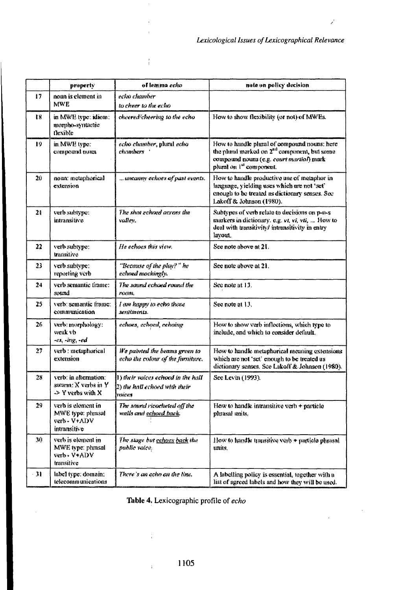$\mathcal{L}$ 

 $\sim$ 

 $\ddot{\phantom{a}}$ 

|    | property                                                                | of lemma echo                                                                   | note on policy decision                                                                                                                                                         |
|----|-------------------------------------------------------------------------|---------------------------------------------------------------------------------|---------------------------------------------------------------------------------------------------------------------------------------------------------------------------------|
| 17 | noan is element in<br>MWE                                               | eciso chamber<br>to cheer to the echo                                           |                                                                                                                                                                                 |
| 18 | in MWE type, idiom.<br>morpho-syntactic<br>tlexible                     | cheered/cheering to the echo                                                    | How to show flexibility (or not) of MWEs.                                                                                                                                       |
| 19 | in MWE type:<br>сотроине поит                                           | echo chamber, pluni echo<br>chambers .                                          | How to handle plural of compound nouns; here<br>the pland marked on 2 <sup>nd</sup> component, but some<br>compound nouns (e.g. court martial) mark<br>plural on 1st component. |
| N  | noun: metaphorical<br>extension                                         | wacanny echoes of past events.                                                  | How to handle productive use of metaphor in<br>language, yielding uses which are not 'set'<br>enough to be treated as dictionary senses. See<br>Lakoff & Johnson (1980).        |
| 21 | verb subtype:<br>mmansitive                                             | The shot echoed across the<br>valley.                                           | Subtypes of verb relate to decisions on p-n-s<br>markers in dictionary, e.g. $vt$ , vi, vii,  How to<br>deal with transitivity/ intransitivity in entry<br>lavout.              |
| 22 | verb subtype:<br>transitive                                             | He echoes this view.                                                            | See note above at 21.                                                                                                                                                           |
| 23 | verb subtype:<br>reporting verb                                         | "Because of the play?" he<br>echond mockinghe                                   | See note above at 21.                                                                                                                                                           |
| 24 | verb semantic frame:<br>sound                                           | The sound echoed round the<br>romu.                                             | See note at 13.                                                                                                                                                                 |
| 25 | verb: semantic frame:<br>communication                                  | I am happy to echo those<br>sentiments.                                         | See note at 13.                                                                                                                                                                 |
| 26 | verb: morphology:<br>weak vb<br>-es, -ing, -ed                          | echoes, echoed, cehoing-                                                        | How to show verb inflections, which type to<br>include, and which to consider default.                                                                                          |
| 27 | verb : metaphorical<br>extension                                        | We painted the beams grown to<br>echo the colour of the furniture.              | How to handle metaphorical meaning extensions<br>which are not 'set' enough to be treated as<br>dictionary senses. See Lakoff & Johnson (1980).                                 |
| 28 | verb: in alternation:<br>swarm: X verbs in Y<br>-> Y verbs with X       | 1) their valces echoed in the hall<br>[2) the hall echoed with their<br>havices | See Levin (1993).                                                                                                                                                               |
| 29 | verb is element in<br>MWE type: phrusal<br>verb - V+ADV<br>intransitive | The sound ricocheted off the<br>walls and <u>echoed back</u> .                  | How to handle intransitive verb $+$ particle<br>pluasal anits.                                                                                                                  |
| 30 | verb is element in<br>MWE type: phrasal<br>verb» V+ADV<br>transitive    | The stage but <u>echaes back</u> the<br>public voice.                           | How to handle transitive verb + particle phrasal<br>units.                                                                                                                      |
| 31 | label type; domain:<br>telecommunications                               | There's an acho on the line.                                                    | A labelling policy is essential, together with a<br>list of agreed labels and how they will be used.                                                                            |

 $\frac{1}{4}$ 

Table 4. Lexicographic profile of echo

ĵ.

 $\frac{1}{2}$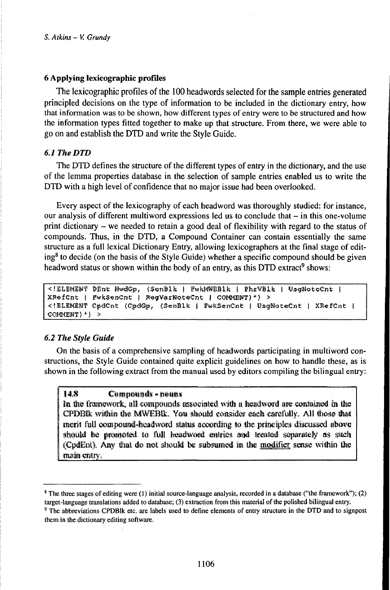### 6 Applying lexicographic profiles

The lexicographic profiles of the 100 headwords selected for the sample entries generated principled decisions on the type of information to be included in the dictionary entry, how that information was to be shown, how different types ofentry were to be structured and how the information types fitted together to make up that structure. From there, we were able to go on and establish the DTD and write the Style Guide.

# *6.1TheDTD*

The DTD defmes the structure of the different types of entry in the dictionary, and the use of the lemma properties database in the selection of sample entries enabled us to write the DTD with a high level of confidence that no major issue had been overlooked.

Every aspect of the lexicography of each headword was thoroughly studied: for instance, our analysis of different multiword expressions led us to conclude that – in this one-volume print dictionary - we needed to retain <sup>a</sup> good deal of flexibility with regard to the status of compounds. Thus, in the DTD, a Compound Container can contain essentially the same structure as a full lexical Dictionary Entry, allowing lexicographers at the final stage of editing<sup>8</sup> to decide (on the basis of the Style Guide) whether a specific compound should be given headword status or shown within the body of an entry, as this DTD extract<sup>9</sup> shows:

<!DLBMENT DEnt HwdGp, (SonBlk | FwkMWEBlk | PhrVBlk | UsgNotoCnt |  $XRefCnt$  | FwkSenCnt | RegVarNoteCnt | COMMENT)\*) > <!BLEMENT CpdCnt (CpdGp, (SenBlk | FwkSenCnt | UsgNoteCnt | XRéfCnt | COMKEHT)\*) *<sup>&</sup>gt;*

### *6.2 The Style Guide*

On the basis of a comprehensive sampling of headwords participating in multiword constructions, the Style Guide contained quite explicit guidelines on how to handle these, as is shown in the following extract from the manual used by editors compiling the bilingual entry:

## 14.8 **Compounds** - nouns

In the framework, all compounds associated with a headword are contained in the CPDBIk within the MWEBL, You should consider each carefully. All those that merít full compound-headword status according to the principles discussed above CPDBIK within the MWEBIK. You should consider each carefully. All those that<br>merit full compound-headword status according to the principles discussed above<br>should be promoted to full headword entries and treated separatel should be promoted to full headword entries and treated separately as such<br>'CodEnt). Any that do not should be subsumed in the modifier sense within the main entry.

<sup>8</sup> The three stages ofediting were (1) initial source-language analysis, recorded in a database ("the framework"); (2) target-language translations added to database; (3) extraction from this material of the polished bilingual entry.

<sup>&</sup>lt;sup>9</sup> The abbreviations CPDBlk etc. are labels used to define elements of entry structure in the DTD and to signpost them in the dictionary editing software.